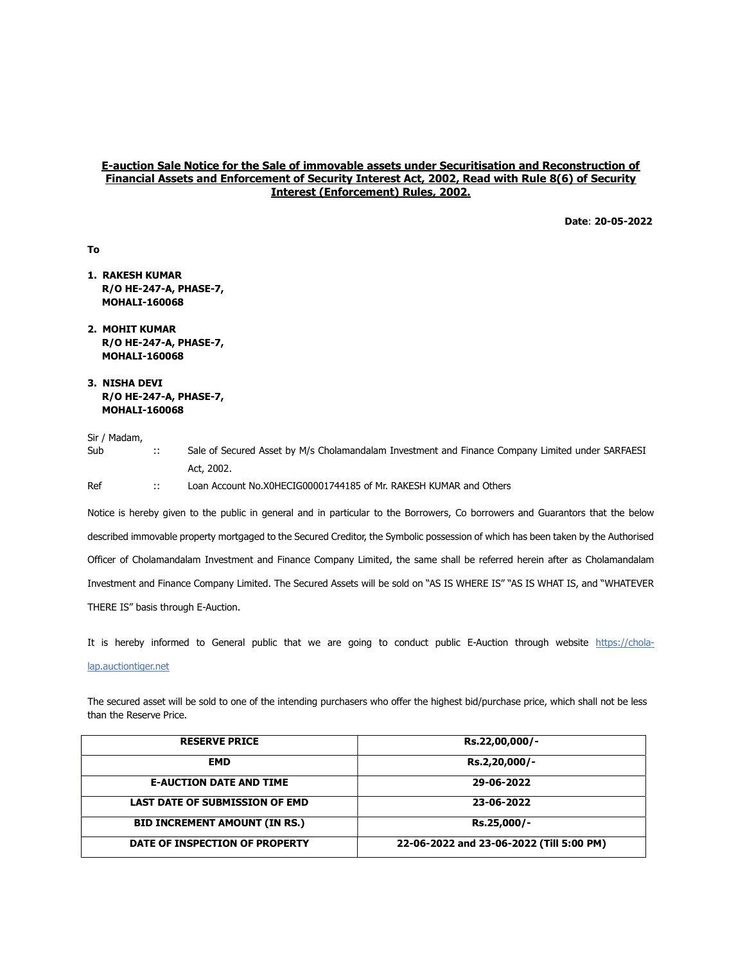## E-auction Sale Notice for the Sale of immovable assets under Securitisation and Reconstruction of Financial Assets and Enforcement of Security Interest Act, 2002, Read with Rule 8(6) of Security Interest (Enforcement) Rules, 2002.

Date: 20-05-2022

- 1. RAKESH KUMAR R/O HE-247-A, PHASE-7, MOHALI-160068
- 2. MOHIT KUMAR R/O HE-247-A, PHASE-7, MOHALI-160068
- 3. NISHA DEVI R/O HE-247-A, PHASE-7, MOHALI-160068

To

| Sub | $\mathbb{R}^n$ | Sale of Secured Asset by M/s Cholamandalam Investment and Finance Company Limited under SARFAESI |
|-----|----------------|--------------------------------------------------------------------------------------------------|
|     |                | Act. 2002.                                                                                       |
| Ref | <b>A</b>       | Loan Account No.X0HECIG00001744185 of Mr. RAKESH KUMAR and Others                                |

Notice is hereby given to the public in general and in particular to the Borrowers, Co borrowers and Guarantors that the below described immovable property mortgaged to the Secured Creditor, the Symbolic possession of which has been taken by the Authorised Officer of Cholamandalam Investment and Finance Company Limited, the same shall be referred herein after as Cholamandalam Investment and Finance Company Limited. The Secured Assets will be sold on "AS IS WHERE IS" "AS IS WHAT IS, and "WHATEVER THERE IS" basis through E-Auction.

It is hereby informed to General public that we are going to conduct public E-Auction through website https://chola-

#### lap.auctiontiger.net

The secured asset will be sold to one of the intending purchasers who offer the highest bid/purchase price, which shall not be less than the Reserve Price.

| <b>RESERVE PRICE</b>                  | Rs.22,00,000/-                           |
|---------------------------------------|------------------------------------------|
| <b>EMD</b>                            | Rs.2,20,000/-                            |
| <b>E-AUCTION DATE AND TIME</b>        | 29-06-2022                               |
| <b>LAST DATE OF SUBMISSION OF EMD</b> | 23-06-2022                               |
| <b>BID INCREMENT AMOUNT (IN RS.)</b>  | Rs.25,000/-                              |
| DATE OF INSPECTION OF PROPERTY        | 22-06-2022 and 23-06-2022 (Till 5:00 PM) |

Sir / Madam,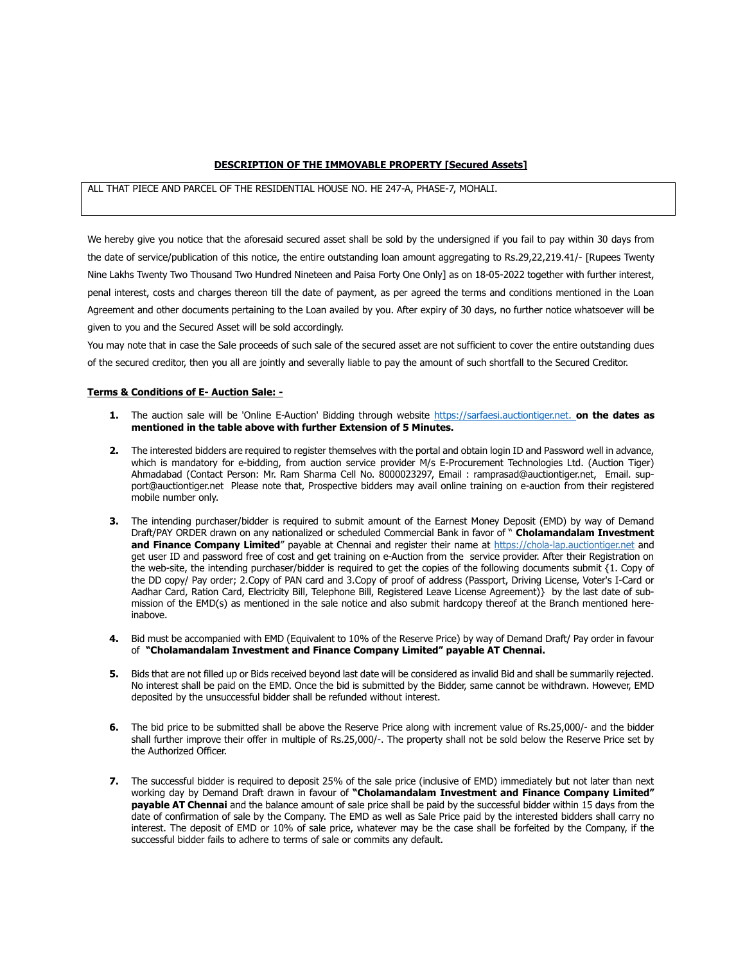## DESCRIPTION OF THE IMMOVABLE PROPERTY [Secured Assets]

# ALL THAT PIECE AND PARCEL OF THE RESIDENTIAL HOUSE NO. HE 247-A, PHASE-7, MOHALI.

We hereby give you notice that the aforesaid secured asset shall be sold by the undersigned if you fail to pay within 30 days from the date of service/publication of this notice, the entire outstanding loan amount aggregating to Rs.29,22,219.41/- [Rupees Twenty Nine Lakhs Twenty Two Thousand Two Hundred Nineteen and Paisa Forty One Only] as on 18-05-2022 together with further interest, penal interest, costs and charges thereon till the date of payment, as per agreed the terms and conditions mentioned in the Loan Agreement and other documents pertaining to the Loan availed by you. After expiry of 30 days, no further notice whatsoever will be given to you and the Secured Asset will be sold accordingly.

You may note that in case the Sale proceeds of such sale of the secured asset are not sufficient to cover the entire outstanding dues of the secured creditor, then you all are jointly and severally liable to pay the amount of such shortfall to the Secured Creditor.

#### Terms & Conditions of E- Auction Sale: -

- 1. The auction sale will be 'Online E-Auction' Bidding through website https://sarfaesi.auctiontiger.net. on the dates as mentioned in the table above with further Extension of 5 Minutes.
- 2. The interested bidders are required to register themselves with the portal and obtain login ID and Password well in advance, which is mandatory for e-bidding, from auction service provider M/s E-Procurement Technologies Ltd. (Auction Tiger) Ahmadabad (Contact Person: Mr. Ram Sharma Cell No. 8000023297, Email : ramprasad@auctiontiger.net, Email. support@auctiontiger.net Please note that, Prospective bidders may avail online training on e-auction from their registered mobile number only.
- 3. The intending purchaser/bidder is required to submit amount of the Earnest Money Deposit (EMD) by way of Demand Draft/PAY ORDER drawn on any nationalized or scheduled Commercial Bank in favor of " Cholamandalam Investment and Finance Company Limited" payable at Chennai and register their name at https://chola-lap.auctiontiger.net and get user ID and password free of cost and get training on e-Auction from the service provider. After their Registration on the web-site, the intending purchaser/bidder is required to get the copies of the following documents submit {1. Copy of the DD copy/ Pay order; 2.Copy of PAN card and 3.Copy of proof of address (Passport, Driving License, Voter's I-Card or Aadhar Card, Ration Card, Electricity Bill, Telephone Bill, Registered Leave License Agreement)} by the last date of submission of the EMD(s) as mentioned in the sale notice and also submit hardcopy thereof at the Branch mentioned hereinabove.
- 4. Bid must be accompanied with EMD (Equivalent to 10% of the Reserve Price) by way of Demand Draft/ Pay order in favour of "Cholamandalam Investment and Finance Company Limited" payable AT Chennai.
- 5. Bids that are not filled up or Bids received beyond last date will be considered as invalid Bid and shall be summarily rejected. No interest shall be paid on the EMD. Once the bid is submitted by the Bidder, same cannot be withdrawn. However, EMD deposited by the unsuccessful bidder shall be refunded without interest.
- 6. The bid price to be submitted shall be above the Reserve Price along with increment value of Rs.25,000/- and the bidder shall further improve their offer in multiple of Rs.25,000/-. The property shall not be sold below the Reserve Price set by the Authorized Officer.
- 7. The successful bidder is required to deposit 25% of the sale price (inclusive of EMD) immediately but not later than next working day by Demand Draft drawn in favour of "Cholamandalam Investment and Finance Company Limited" payable AT Chennai and the balance amount of sale price shall be paid by the successful bidder within 15 days from the date of confirmation of sale by the Company. The EMD as well as Sale Price paid by the interested bidders shall carry no interest. The deposit of EMD or 10% of sale price, whatever may be the case shall be forfeited by the Company, if the successful bidder fails to adhere to terms of sale or commits any default.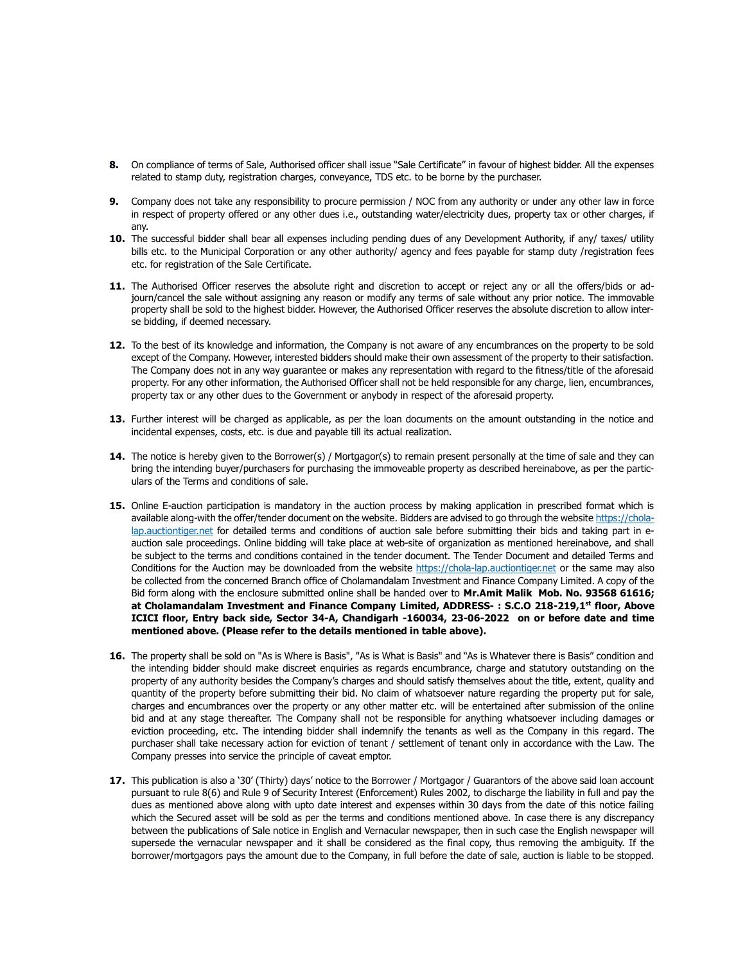- 8. On compliance of terms of Sale, Authorised officer shall issue "Sale Certificate" in favour of highest bidder. All the expenses related to stamp duty, registration charges, conveyance, TDS etc. to be borne by the purchaser.
- 9. Company does not take any responsibility to procure permission / NOC from any authority or under any other law in force in respect of property offered or any other dues i.e., outstanding water/electricity dues, property tax or other charges, if any.
- 10. The successful bidder shall bear all expenses including pending dues of any Development Authority, if any/ taxes/ utility bills etc. to the Municipal Corporation or any other authority/ agency and fees payable for stamp duty /registration fees etc. for registration of the Sale Certificate.
- 11. The Authorised Officer reserves the absolute right and discretion to accept or reject any or all the offers/bids or adjourn/cancel the sale without assigning any reason or modify any terms of sale without any prior notice. The immovable property shall be sold to the highest bidder. However, the Authorised Officer reserves the absolute discretion to allow interse bidding, if deemed necessary.
- 12. To the best of its knowledge and information, the Company is not aware of any encumbrances on the property to be sold except of the Company. However, interested bidders should make their own assessment of the property to their satisfaction. The Company does not in any way guarantee or makes any representation with regard to the fitness/title of the aforesaid property. For any other information, the Authorised Officer shall not be held responsible for any charge, lien, encumbrances, property tax or any other dues to the Government or anybody in respect of the aforesaid property.
- 13. Further interest will be charged as applicable, as per the loan documents on the amount outstanding in the notice and incidental expenses, costs, etc. is due and payable till its actual realization.
- 14. The notice is hereby given to the Borrower(s) / Mortgagor(s) to remain present personally at the time of sale and they can bring the intending buyer/purchasers for purchasing the immoveable property as described hereinabove, as per the particulars of the Terms and conditions of sale.
- 15. Online E-auction participation is mandatory in the auction process by making application in prescribed format which is available along-with the offer/tender document on the website. Bidders are advised to go through the website https://cholalap.auctiontiger.net for detailed terms and conditions of auction sale before submitting their bids and taking part in eauction sale proceedings. Online bidding will take place at web-site of organization as mentioned hereinabove, and shall be subject to the terms and conditions contained in the tender document. The Tender Document and detailed Terms and Conditions for the Auction may be downloaded from the website https://chola-lap.auctiontiger.net or the same may also be collected from the concerned Branch office of Cholamandalam Investment and Finance Company Limited. A copy of the Bid form along with the enclosure submitted online shall be handed over to Mr.Amit Malik Mob. No. 93568 61616; at Cholamandalam Investment and Finance Company Limited, ADDRESS-: S.C.O 218-219,1<sup>st</sup> floor, Above ICICI floor, Entry back side, Sector 34-A, Chandigarh -160034, 23-06-2022 on or before date and time mentioned above. (Please refer to the details mentioned in table above).
- 16. The property shall be sold on "As is Where is Basis", "As is What is Basis" and "As is Whatever there is Basis" condition and the intending bidder should make discreet enquiries as regards encumbrance, charge and statutory outstanding on the property of any authority besides the Company's charges and should satisfy themselves about the title, extent, quality and quantity of the property before submitting their bid. No claim of whatsoever nature regarding the property put for sale, charges and encumbrances over the property or any other matter etc. will be entertained after submission of the online bid and at any stage thereafter. The Company shall not be responsible for anything whatsoever including damages or eviction proceeding, etc. The intending bidder shall indemnify the tenants as well as the Company in this regard. The purchaser shall take necessary action for eviction of tenant / settlement of tenant only in accordance with the Law. The Company presses into service the principle of caveat emptor.
- 17. This publication is also a '30' (Thirty) days' notice to the Borrower / Mortgagor / Guarantors of the above said loan account pursuant to rule 8(6) and Rule 9 of Security Interest (Enforcement) Rules 2002, to discharge the liability in full and pay the dues as mentioned above along with upto date interest and expenses within 30 days from the date of this notice failing which the Secured asset will be sold as per the terms and conditions mentioned above. In case there is any discrepancy between the publications of Sale notice in English and Vernacular newspaper, then in such case the English newspaper will supersede the vernacular newspaper and it shall be considered as the final copy, thus removing the ambiguity. If the borrower/mortgagors pays the amount due to the Company, in full before the date of sale, auction is liable to be stopped.